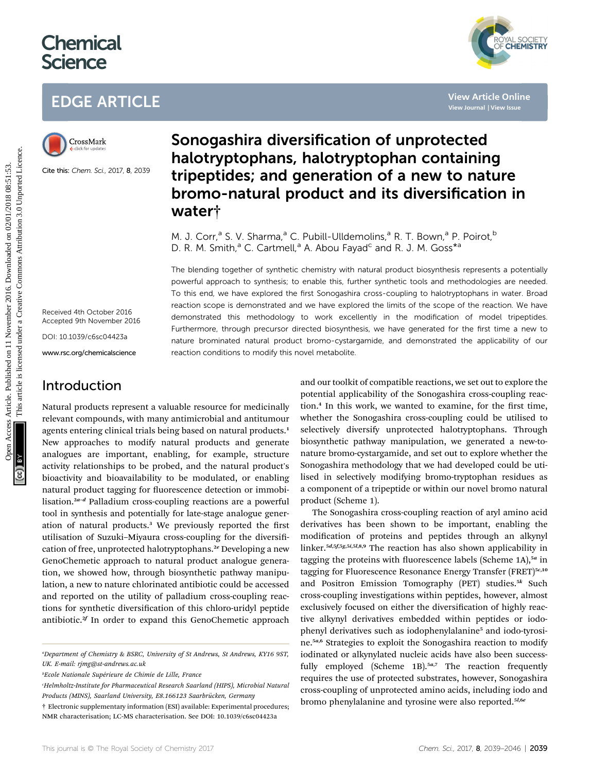# **Chemical Science**

# EDGE ARTICLE



Cite this: Chem. Sci., 2017, <sup>8</sup>, 2039

Received 4th October 2016 Accepted 9th November 2016

DOI: 10.1039/c6sc04423a

www.rsc.org/chemicalscience

### Introduction

Natural products represent a valuable resource for medicinally relevant compounds, with many antimicrobial and antitumour agents entering clinical trials being based on natural products.<sup>1</sup> New approaches to modify natural products and generate analogues are important, enabling, for example, structure activity relationships to be probed, and the natural product's bioactivity and bioavailability to be modulated, or enabling natural product tagging for fluorescence detection or immobilisation.<sup>2a-d</sup> Palladium cross-coupling reactions are a powerful tool in synthesis and potentially for late-stage analogue generation of natural products.<sup>3</sup> We previously reported the first utilisation of Suzuki-Miyaura cross-coupling for the diversification of free, unprotected halotryptophans.<sup>2e</sup> Developing a new GenoChemetic approach to natural product analogue generation, we showed how, through biosynthetic pathway manipulation, a new to nature chlorinated antibiotic could be accessed and reported on the utility of palladium cross-coupling reactions for synthetic diversification of this chloro-uridyl peptide antibiotic.<sup>2f</sup> In order to expand this GenoChemetic approach

## Sonogashira diversification of unprotected halotryptophans, halotryptophan containing tripeptides; and generation of a new to nature bromo-natural product and its diversification in water†

M. J. Corr,<sup>a</sup> S. V. Sharma,<sup>a</sup> C. Pubill-Ulldemolins,<sup>a</sup> R. T. Bown,<sup>a</sup> P. Poirot,<sup>b</sup> D. R. M. Smith,<sup>a</sup> C. Cartmell,<sup>a</sup> A. Abou Fayad<sup>c</sup> and R. J. M. Goss<sup>\*a</sup>

The blending together of synthetic chemistry with natural product biosynthesis represents a potentially powerful approach to synthesis; to enable this, further synthetic tools and methodologies are needed. To this end, we have explored the first Sonogashira cross-coupling to halotryptophans in water. Broad reaction scope is demonstrated and we have explored the limits of the scope of the reaction. We have demonstrated this methodology to work excellently in the modification of model tripeptides. Furthermore, through precursor directed biosynthesis, we have generated for the first time a new to nature brominated natural product bromo-cystargamide, and demonstrated the applicability of our reaction conditions to modify this novel metabolite. **EDGE ARTICLE**<br>
Sonogashira diversification of unprotected<br>
halotryptophans, halotryptophan containing<br>
signals of the set of the set of the set of the set of the set of the set of the set of the set of the set of the set

and our toolkit of compatible reactions, we set out to explore the potential applicability of the Sonogashira cross-coupling reaction.<sup>4</sup> In this work, we wanted to examine, for the first time, whether the Sonogashira cross-coupling could be utilised to selectively diversify unprotected halotryptophans. Through biosynthetic pathway manipulation, we generated a new-tonature bromo-cystargamide, and set out to explore whether the Sonogashira methodology that we had developed could be utilised in selectively modifying bromo-tryptophan residues as a component of a tripeptide or within our novel bromo natural product (Scheme 1).

The Sonogashira cross-coupling reaction of aryl amino acid derivatives has been shown to be important, enabling the modification of proteins and peptides through an alkynyl linker.<sup>5</sup>d,5f,5g,5i,5l,8,9 The reaction has also shown applicability in tagging the proteins with fluorescence labels (Scheme 1A), $5a$  in tagging for Fluorescence Resonance Energy Transfer (FRET)<sup>5c,10</sup> and Positron Emission Tomography (PET) studies. $5k$  Such cross-coupling investigations within peptides, however, almost exclusively focused on either the diversification of highly reactive alkynyl derivatives embedded within peptides or iodophenyl derivatives such as iodophenylalanine<sup>5</sup> and iodo-tyrosine.<sup>5</sup>a,6 Strategies to exploit the Sonogashira reaction to modify iodinated or alkynylated nucleic acids have also been successfully employed (Scheme  $1B$ ).<sup>5a,7</sup> The reaction frequently requires the use of protected substrates, however, Sonogashira cross-coupling of unprotected amino acids, including iodo and bromo phenylalanine and tyrosine were also reported.<sup>51,66</sup>



a Department of Chemistry & BSRC, University of St Andrews, St Andrews, KY16 9ST, UK. E-mail: rjmg@st-andrews.ac.uk

<sup>&</sup>lt;sup>b</sup>Ecole Nationale Supérieure de Chimie de Lille, France

c Helmholtz-Institute for Pharmaceutical Research Saarland (HIPS), Microbial Natural Products (MINS), Saarland University, E8.166123 Saarbrücken, Germany

<sup>†</sup> Electronic supplementary information (ESI) available: Experimental procedures; NMR characterisation; LC-MS characterisation. See DOI: 10.1039/c6sc04423a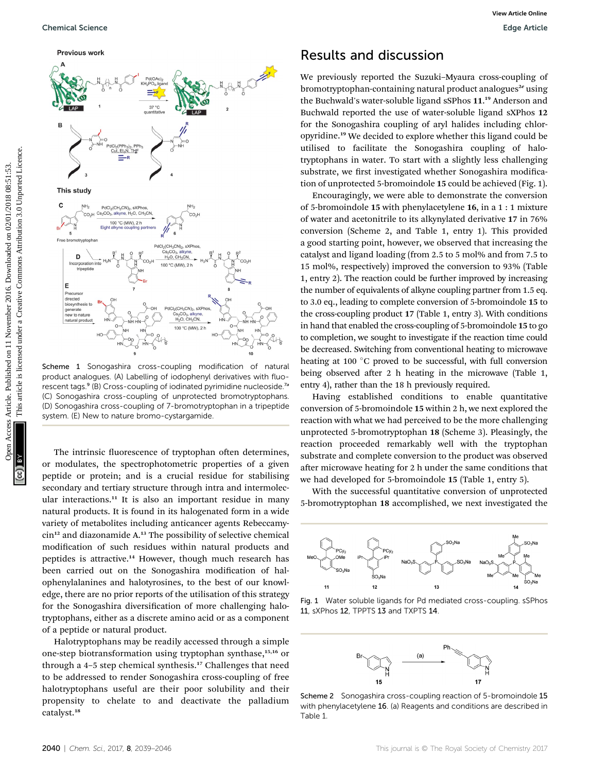

Scheme 1 Sonogashira cross-coupling modification of natural product analogues. (A) Labelling of iodophenyl derivatives with fluorescent tags.<sup>9</sup> (B) Cross-coupling of iodinated pyrimidine nucleoside.<sup>7a</sup> (C) Sonogashira cross-coupling of unprotected bromotryptophans. (D) Sonogashira cross-coupling of 7-bromotryptophan in a tripeptide system. (E) New to nature bromo-cystargamide.

The intrinsic fluorescence of tryptophan often determines, or modulates, the spectrophotometric properties of a given peptide or protein; and is a crucial residue for stabilising secondary and tertiary structure through intra and intermolecular interactions. $11$  It is also an important residue in many natural products. It is found in its halogenated form in a wide variety of metabolites including anticancer agents Rebeccamycin<sup>12</sup> and diazonamide A.<sup>13</sup> The possibility of selective chemical modification of such residues within natural products and peptides is attractive.<sup>14</sup> However, though much research has been carried out on the Sonogashira modification of halophenylalanines and halotyrosines, to the best of our knowledge, there are no prior reports of the utilisation of this strategy for the Sonogashira diversification of more challenging halotryptophans, either as a discrete amino acid or as a component of a peptide or natural product.

Halotryptophans may be readily accessed through a simple one-step biotransformation using tryptophan synthase,<sup>15,16</sup> or through a 4-5 step chemical synthesis.<sup>17</sup> Challenges that need to be addressed to render Sonogashira cross-coupling of free halotryptophans useful are their poor solubility and their propensity to chelate to and deactivate the palladium catalyst.<sup>18</sup>

#### Results and discussion

We previously reported the Suzuki–Myaura cross-coupling of bromotryptophan-containing natural product analogues<sup>2e</sup> using the Buchwald's water-soluble ligand sSPhos 11. <sup>19</sup> Anderson and Buchwald reported the use of water-soluble ligand sXPhos 12 for the Sonogashira coupling of aryl halides including chloropyridine.<sup>19</sup> We decided to explore whether this ligand could be utilised to facilitate the Sonogashira coupling of halotryptophans in water. To start with a slightly less challenging substrate, we first investigated whether Sonogashira modification of unprotected 5-bromoindole 15 could be achieved (Fig. 1).

Encouragingly, we were able to demonstrate the conversion of 5-bromoindole 15 with phenylacetylene 16, in a 1 : 1 mixture of water and acetonitrile to its alkynylated derivative 17 in 76% conversion (Scheme 2, and Table 1, entry 1). This provided a good starting point, however, we observed that increasing the catalyst and ligand loading (from 2.5 to 5 mol% and from 7.5 to 15 mol%, respectively) improved the conversion to 93% (Table 1, entry 2). The reaction could be further improved by increasing the number of equivalents of alkyne coupling partner from 1.5 eq. to 3.0 eq., leading to complete conversion of 5-bromoindole 15 to the cross-coupling product 17 (Table 1, entry 3). With conditions in hand that enabled the cross-coupling of 5-bromoindole 15 to go to completion, we sought to investigate if the reaction time could be decreased. Switching from conventional heating to microwave heating at 100 °C proved to be successful, with full conversion being observed after 2 h heating in the microwave (Table 1, entry 4), rather than the 18 h previously required.

Having established conditions to enable quantitative conversion of 5-bromoindole 15 within 2 h, we next explored the reaction with what we had perceived to be the more challenging unprotected 5-bromotryptophan 18 (Scheme 3). Pleasingly, the reaction proceeded remarkably well with the tryptophan substrate and complete conversion to the product was observed after microwave heating for 2 h under the same conditions that we had developed for 5-bromoindole 15 (Table 1, entry 5).

With the successful quantitative conversion of unprotected 5-bromotryptophan 18 accomplished, we next investigated the



Fig. 1 Water soluble ligands for Pd mediated cross-coupling. sSPhos 11, sXPhos 12, TPPTS 13 and TXPTS 14.



Scheme 2 Sonogashira cross-coupling reaction of 5-bromoindole 15 with phenylacetylene 16. (a) Reagents and conditions are described in Table 1.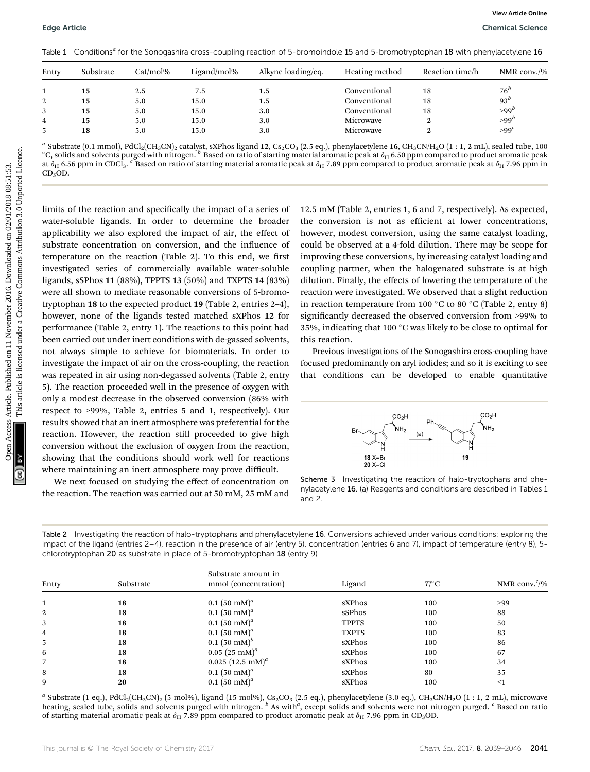Table 1 Conditions<sup>a</sup> for the Sonogashira cross-coupling reaction of 5-bromoindole 15 and 5-bromotryptophan 18 with phenylacetylene 16

| Entry | Substrate | $Cat/mol\%$ | Ligand/mol% | Alkyne loading/eq. | Heating method | Reaction time/h | NMR conv./%        |
|-------|-----------|-------------|-------------|--------------------|----------------|-----------------|--------------------|
|       | 15        | 2.5         | 7.5         | 1.5                | Conventional   | 18              | $76^b$             |
| 2     | 15        | 5.0         | 15.0        | 1.5                | Conventional   | 18              | $93^b$             |
| 3     | 15        | 5.0         | 15.0        | 3.0                | Conventional   | 18              | $>99^b$            |
| 4     | 15        | 5.0         | 15.0        | 3.0                | Microwave      |                 | $>99^b$            |
| 5     | 18        | 5.0         | 15.0        | 3.0                | Microwave      |                 | $>99$ <sup>c</sup> |

 $^a$  Substrate (0.1 mmol), PdCl<sub>2</sub>(CH<sub>3</sub>CN)<sub>2</sub> catalyst, sXPhos ligand 12, Cs<sub>2</sub>CO<sub>3</sub> (2.5 eq.), phenylacetylene 16, CH<sub>3</sub>CN/H<sub>2</sub>O (1:1, 2 mL), sealed tube, 100  $^\circ$ C, solids and solvents purged with nitrogen.  $^b$  Based on ratio of starting material aromatic peak at  $\delta_{\rm H}$  6.50 ppm compared to product aromatic peak at  $\delta_H$  6.56 ppm in CDCl3.  $^c$  Based on ratio of starting material aromatic peak at  $\delta_H$  7.89 ppm compared to product aromatic peak at  $\delta_H$  7.96 ppm in  $CD<sub>3</sub>OD.$ 

limits of the reaction and specifically the impact of a series of water-soluble ligands. In order to determine the broader applicability we also explored the impact of air, the effect of substrate concentration on conversion, and the influence of temperature on the reaction (Table 2). To this end, we first investigated series of commercially available water-soluble ligands, sSPhos 11 (88%), TPPTS 13 (50%) and TXPTS 14 (83%) were all shown to mediate reasonable conversions of 5-bromotryptophan 18 to the expected product 19 (Table 2, entries 2–4), however, none of the ligands tested matched sXPhos 12 for performance (Table 2, entry 1). The reactions to this point had been carried out under inert conditions with de-gassed solvents, not always simple to achieve for biomaterials. In order to investigate the impact of air on the cross-coupling, the reaction was repeated in air using non-degassed solvents (Table 2, entry 5). The reaction proceeded well in the presence of oxygen with only a modest decrease in the observed conversion (86% with respect to >99%, Table 2, entries 5 and 1, respectively). Our results showed that an inert atmosphere was preferential for the reaction. However, the reaction still proceeded to give high conversion without the exclusion of oxygen from the reaction, showing that the conditions should work well for reactions where maintaining an inert atmosphere may prove difficult. Edge Article<br>
The L. Condition's Total Contention and the contention of the based on 21 November 2016. The main and the main and the main and the main and the main and the main and the main and the main and the main and t

We next focused on studying the effect of concentration on the reaction. The reaction was carried out at 50 mM, 25 mM and 12.5 mM (Table 2, entries 1, 6 and 7, respectively). As expected, the conversion is not as efficient at lower concentrations, however, modest conversion, using the same catalyst loading, could be observed at a 4-fold dilution. There may be scope for improving these conversions, by increasing catalyst loading and coupling partner, when the halogenated substrate is at high dilution. Finally, the effects of lowering the temperature of the reaction were investigated. We observed that a slight reduction in reaction temperature from 100 °C to 80 °C (Table 2, entry 8) significantly decreased the observed conversion from >99% to 35%, indicating that 100 $\degree$ C was likely to be close to optimal for this reaction.

Previous investigations of the Sonogashira cross-coupling have focused predominantly on aryl iodides; and so it is exciting to see that conditions can be developed to enable quantitative



Scheme 3 Investigating the reaction of halo-tryptophans and phenylacetylene 16. (a) Reagents and conditions are described in Tables 1 and 2.

| Table 2 Investigating the reaction of halo-tryptophans and phenylacetylene 16. Conversions achieved under various conditions: exploring the         |  |
|-----------------------------------------------------------------------------------------------------------------------------------------------------|--|
| impact of the ligand (entries 2–4), reaction in the presence of air (entry 5), concentration (entries 6 and 7), impact of temperature (entry 8), 5- |  |
| chlorotryptophan 20 as substrate in place of 5-bromotryptophan $18$ (entry 9)                                                                       |  |

| Entry        | Substrate | Substrate amount in<br>mmol (concentration) | Ligand       | $T\mathcal{C}$ | NMR conv. $\frac{c}{\sqrt{2}}$ |
|--------------|-----------|---------------------------------------------|--------------|----------------|--------------------------------|
|              |           |                                             |              |                |                                |
| $\mathbf{1}$ | 18        | $0.1~(50~\mathrm{mM})^a$                    | sXPhos       | 100            | >99                            |
| 2            | 18        | $0.1~(50~\mathrm{mM})^a$                    | sSPhos       | 100            | 88                             |
| 3            | 18        | $0.1~(50~\mathrm{mM})^a$                    | <b>TPPTS</b> | 100            | 50                             |
| 4            | 18        | $0.1~(50~\mathrm{mM})^a$                    | <b>TXPTS</b> | 100            | 83                             |
| 5            | 18        | $0.1~(50~\mathrm{mM})^b$                    | sXPhos       | 100            | 86                             |
| 6            | 18        | $0.05~(25~\mathrm{mM})^a$                   | sXPhos       | 100            | 67                             |
|              | 18        | $0.025$ (12.5 mM) <sup>a</sup>              | sXPhos       | 100            | 34                             |
| 8            | 18        | $0.1~(50~\mathrm{mM})^a$                    | sXPhos       | 80             | 35                             |
| 9            | 20        | $0.1$ (50 mM) <sup>a</sup>                  | sXPhos       | 100            | $\leq 1$                       |

<sup>a</sup> Substrate (1 eq.), PdCl<sub>2</sub>(CH<sub>3</sub>CN)<sub>2</sub> (5 mol%), ligand (15 mol%), Cs<sub>2</sub>CO<sub>3</sub> (2.5 eq.), phenylacetylene (3.0 eq.), CH<sub>3</sub>CN/H<sub>2</sub>O (1 : 1, 2 mL), microwave heating, sealed tube, solids and solvents purged with nitrogen. <sup>b</sup> As with<sup>a</sup>, except solids and solvents were not nitrogen purged. <sup>c</sup> Based on ratio of starting material aromatic peak at  $\delta_H$  7.89 ppm compared to product aromatic peak at  $\delta_H$  7.96 ppm in CD<sub>3</sub>OD.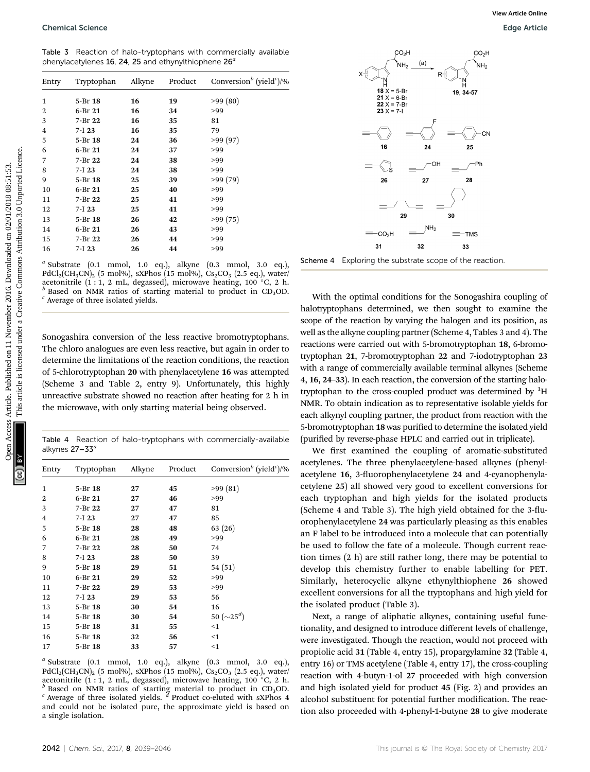Table 3 Reaction of halo-tryptophans with commercially available phenylacetylenes 16, 24, 25 and ethynylthiophene  $26<sup>a</sup>$ 

| Entry          | Tryptophan                                      | Alkyne   | Product  | Conversion <sup>b</sup> (yield <sup>c</sup> )/%                                                                                                                                                                                                                                                                                                                                                                                                                              |                                                                                                                                                                                                                                                                                                                                                                                                                                                                                                                                                                       |
|----------------|-------------------------------------------------|----------|----------|------------------------------------------------------------------------------------------------------------------------------------------------------------------------------------------------------------------------------------------------------------------------------------------------------------------------------------------------------------------------------------------------------------------------------------------------------------------------------|-----------------------------------------------------------------------------------------------------------------------------------------------------------------------------------------------------------------------------------------------------------------------------------------------------------------------------------------------------------------------------------------------------------------------------------------------------------------------------------------------------------------------------------------------------------------------|
| $\mathbf{1}$   | 5-Br 18                                         | 16       | 19       | >99(80)                                                                                                                                                                                                                                                                                                                                                                                                                                                                      | $18 X = 5 - Br$<br>19, 34-57<br>$21 X = 6 - Br$<br>$22 X = 7 - Br$                                                                                                                                                                                                                                                                                                                                                                                                                                                                                                    |
| $\overline{2}$ | 6-Br 21                                         | 16       | 34       | >99                                                                                                                                                                                                                                                                                                                                                                                                                                                                          | $23 X = 7-1$                                                                                                                                                                                                                                                                                                                                                                                                                                                                                                                                                          |
| 3              | 7-Br 22                                         | 16       | 35       | 81                                                                                                                                                                                                                                                                                                                                                                                                                                                                           |                                                                                                                                                                                                                                                                                                                                                                                                                                                                                                                                                                       |
| $\overline{4}$ | $7-I$ 23                                        | 16       | 35       | 79                                                                                                                                                                                                                                                                                                                                                                                                                                                                           |                                                                                                                                                                                                                                                                                                                                                                                                                                                                                                                                                                       |
| 5              | 5-Br 18                                         | 24       | 36       | >99(97)                                                                                                                                                                                                                                                                                                                                                                                                                                                                      | 24<br>16<br>25                                                                                                                                                                                                                                                                                                                                                                                                                                                                                                                                                        |
| 6              | 6-Br 21                                         | 24       | 37       | >99                                                                                                                                                                                                                                                                                                                                                                                                                                                                          |                                                                                                                                                                                                                                                                                                                                                                                                                                                                                                                                                                       |
| 7              | 7-Br 22                                         | 24       | 38       | >99                                                                                                                                                                                                                                                                                                                                                                                                                                                                          |                                                                                                                                                                                                                                                                                                                                                                                                                                                                                                                                                                       |
| 8              | $7-I$ 23                                        | 24       | 38       | >99                                                                                                                                                                                                                                                                                                                                                                                                                                                                          |                                                                                                                                                                                                                                                                                                                                                                                                                                                                                                                                                                       |
| 9              | 5-Br 18                                         | 25       | 39       | >99(79)                                                                                                                                                                                                                                                                                                                                                                                                                                                                      | 27<br>28<br>26                                                                                                                                                                                                                                                                                                                                                                                                                                                                                                                                                        |
| 10             | 6-Br 21                                         | 25       | 40       | >99                                                                                                                                                                                                                                                                                                                                                                                                                                                                          |                                                                                                                                                                                                                                                                                                                                                                                                                                                                                                                                                                       |
| 11             | 7-Br 22                                         | 25       | 41       | >99                                                                                                                                                                                                                                                                                                                                                                                                                                                                          |                                                                                                                                                                                                                                                                                                                                                                                                                                                                                                                                                                       |
| 12             | $7-I$ 23<br>5-Br 18                             | 25       | 41       | >99                                                                                                                                                                                                                                                                                                                                                                                                                                                                          | 29<br>30                                                                                                                                                                                                                                                                                                                                                                                                                                                                                                                                                              |
| 13<br>14       | 6-Br 21                                         | 26<br>26 | 42<br>43 | >99(75)<br>>99                                                                                                                                                                                                                                                                                                                                                                                                                                                               | NH <sub>2</sub>                                                                                                                                                                                                                                                                                                                                                                                                                                                                                                                                                       |
| 15             | 7-Br 22                                         | 26       | 44       | >99                                                                                                                                                                                                                                                                                                                                                                                                                                                                          | CO <sub>2</sub> H<br>$=$ TMS                                                                                                                                                                                                                                                                                                                                                                                                                                                                                                                                          |
| 16             | $7-I$ 23                                        | 26       | 44       | >99                                                                                                                                                                                                                                                                                                                                                                                                                                                                          | 31<br>32<br>33                                                                                                                                                                                                                                                                                                                                                                                                                                                                                                                                                        |
|                | $\textdegree$ Average of three isolated yields. |          |          | $PdCl_2(CH_3CN)_2$ (5 mol%), sXPhos (15 mol%), $Cs_2CO_3$ (2.5 eq.), water/<br>acetonitrile $(1:1, 2 \text{ mL}, \text{degassed})$ , microwave heating, 100 °C, 2 h.<br>$b$ Based on NMR ratios of starting material to product in CD <sub>3</sub> OD.                                                                                                                                                                                                                       | With the optimal conditions for the Sonogashira coupling of<br>halotryptophans determined, we then sought to examine the                                                                                                                                                                                                                                                                                                                                                                                                                                              |
|                |                                                 |          |          | Sonogashira conversion of the less reactive bromotryptophans.<br>The chloro analogues are even less reactive, but again in order to<br>determine the limitations of the reaction conditions, the reaction<br>of 5-chlorotryptophan 20 with phenylacetylene 16 was attempted<br>(Scheme 3 and Table 2, entry 9). Unfortunately, this highly<br>unreactive substrate showed no reaction after heating for 2 h in<br>the microwave, with only starting material being observed. | scope of the reaction by varying the halogen and its position, as<br>well as the alkyne coupling partner (Scheme 4, Tables 3 and 4). The<br>reactions were carried out with 5-bromotryptophan 18, 6-bromo<br>tryptophan 21, 7-bromotryptophan 22 and 7-iodotryptophan 23<br>with a range of commercially available terminal alkynes (Scheme<br>4, 16, 24-33). In each reaction, the conversion of the starting halo<br>tryptophan to the cross-coupled product was determined by <sup>1</sup> H<br>NMR. To obtain indication as to representative isolable yields for |

<sup>a</sup> Substrate (0.1 mmol, 1.0 eq.), alkyne (0.3 mmol, 3.0 eq.), PdCl<sub>2</sub>(CH<sub>3</sub>CN)<sub>2</sub> (5 mol%), sXPhos (15 mol%), Cs<sub>2</sub>CO<sub>3</sub> (2.5 eq.), water/ acetonitrile (1 : 1, 2 mL, degassed), microwave heating, 100 °C, 2 h.  $^b$  Based on NMR ratios of starting material to product in CD<sub>3</sub>OD.  $^c$  Average of three isolated yields.

Table 4 Reaction of halo-tryptophans with commercially-available alkynes  $27 - 33^a$ 

| Entry       | Tryptophan | Alkyne | Product | Conversion <sup>b</sup> (yield <sup>c</sup> )/% |
|-------------|------------|--------|---------|-------------------------------------------------|
| $\mathbf 1$ | 5-Br 18    | 27     | 45      | >99(81)                                         |
| 2           | 6-Br 21    | 27     | 46      | >99                                             |
| 3           | 7-Br 22    | 27     | 47      | 81                                              |
| 4           | $7-I$ 23   | 27     | 47      | 85                                              |
| 5           | 5-Br 18    | 28     | 48      | 63 (26)                                         |
| 6           | 6-Br 21    | 28     | 49      | >99                                             |
| 7           | 7-Br 22    | 28     | 50      | 74                                              |
| 8           | $7-I$ 23   | 28     | 50      | 39                                              |
| 9           | 5-Br 18    | 29     | 51      | 54(51)                                          |
| 10          | 6-Br 21    | 29     | 52      | >99                                             |
| 11          | 7-Br 22    | 29     | 53      | >99                                             |
| 12          | $7-I$ 23   | 29     | 53      | 56                                              |
| 13          | 5-Br 18    | 30     | 54      | 16                                              |
| 14          | 5-Br 18    | 30     | 54      | 50 ( $\sim$ 25 <sup>d</sup> )                   |
| 15          | 5-Br 18    | 31     | 55      | $<$ 1                                           |
| 16          | 5-Br 18    | 32     | 56      | $<$ 1                                           |
| 17          | 5-Br 18    | 33     | 57      | $<$ 1                                           |

 $a$  Substrate (0.1 mmol, 1.0 eq.), alkyne (0.3 mmol, 3.0 eq.), PdCl<sub>2</sub>(CH<sub>3</sub>CN)<sub>2</sub> (5 mol%), sXPhos (15 mol%), Cs<sub>2</sub>CO<sub>3</sub> (2.5 eq.), water/ acetonitrile (1 : 1, 2 mL, degassed), microwave heating, 100 °C, 2 h.  $\frac{b}{b}$  Based on NMR ratios of starting material to product in CD<sub>3</sub>OD.  $\frac{c}{c}$  Average of three isolated yields.  $\frac{d}{c}$  Product co-eluted with and could not be isolated pure, the approximate yield is based on a single isolation.



Scheme 4 Exploring the substrate scope of the reaction

We first examined the coupling of aromatic-substituted acetylenes. The three phenylacetylene-based alkynes (phenylacetylene 16, 3-fluorophenylacetylene 24 and 4-cyanophenylacetylene 25) all showed very good to excellent conversions for each tryptophan and high yields for the isolated products (Scheme 4 and Table 3). The high yield obtained for the  $3$ -fluorophenylacetylene 24 was particularly pleasing as this enables an F label to be introduced into a molecule that can potentially be used to follow the fate of a molecule. Though current reaction times (2 h) are still rather long, there may be potential to develop this chemistry further to enable labelling for PET. Similarly, heterocyclic alkyne ethynylthiophene 26 showed excellent conversions for all the tryptophans and high yield for the isolated product (Table 3).

Next, a range of aliphatic alkynes, containing useful functionality, and designed to introduce different levels of challenge, were investigated. Though the reaction, would not proceed with propiolic acid 31 (Table 4, entry 15), propargylamine 32 (Table 4, entry 16) or TMS acetylene (Table 4, entry 17), the cross-coupling reaction with 4-butyn-1-ol 27 proceeded with high conversion and high isolated yield for product 45 (Fig. 2) and provides an alcohol substituent for potential further modification. The reaction also proceeded with 4-phenyl-1-butyne 28 to give moderate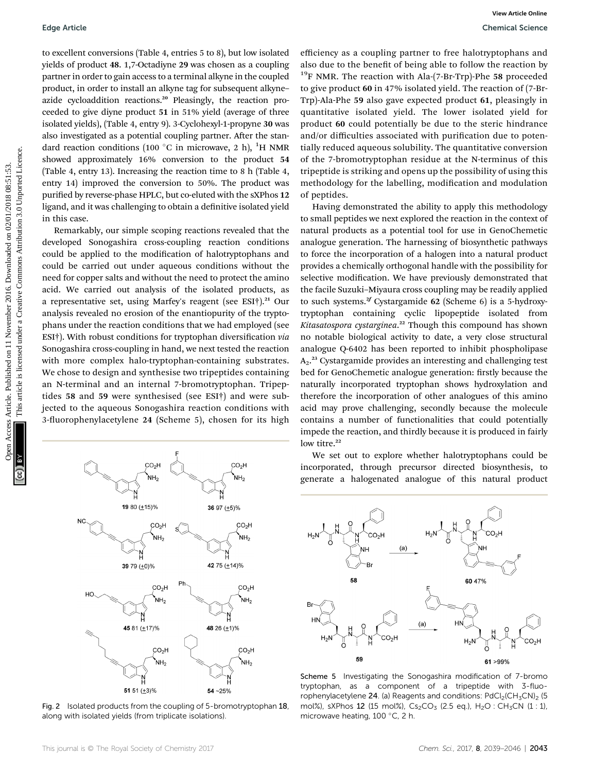to excellent conversions (Table 4, entries 5 to 8), but low isolated yields of product 48. 1,7-Octadiyne 29 was chosen as a coupling partner in order to gain access to a terminal alkyne in the coupled product, in order to install an alkyne tag for subsequent alkyne– azide cycloaddition reactions.<sup>20</sup> Pleasingly, the reaction proceeded to give diyne product 51 in 51% yield (average of three isolated yields), (Table 4, entry 9). 3-Cyclohexyl-1-propyne 30 was also investigated as a potential coupling partner. After the standard reaction conditions (100  $^{\circ} \mathrm{C}$  in microwave, 2 h), <sup>1</sup>H NMR showed approximately 16% conversion to the product 54 (Table 4, entry 13). Increasing the reaction time to 8 h (Table 4, entry 14) improved the conversion to 50%. The product was purified by reverse-phase HPLC, but co-eluted with the sXPhos 12 ligand, and it was challenging to obtain a definitive isolated yield in this case.

Remarkably, our simple scoping reactions revealed that the developed Sonogashira cross-coupling reaction conditions could be applied to the modification of halotryptophans and could be carried out under aqueous conditions without the need for copper salts and without the need to protect the amino acid. We carried out analysis of the isolated products, as a representative set, using Marfey's reagent (see ESI†).<sup>21</sup> Our analysis revealed no erosion of the enantiopurity of the tryptophans under the reaction conditions that we had employed (see ESI<sup>†</sup>). With robust conditions for tryptophan diversification via Sonogashira cross-coupling in hand, we next tested the reaction with more complex halo-tryptophan-containing substrates. We chose to design and synthesise two tripeptides containing an N-terminal and an internal 7-bromotryptophan. Tripeptides 58 and 59 were synthesised (see ESI†) and were subjected to the aqueous Sonogashira reaction conditions with 3-fluorophenylacetylene 24 (Scheme 5), chosen for its high



Fig. 2 Isolated products from the coupling of 5-bromotryptophan 18, along with isolated yields (from triplicate isolations).

efficiency as a coupling partner to free halotryptophans and also due to the benefit of being able to follow the reaction by  $19$ F NMR. The reaction with Ala-(7-Br-Trp)-Phe 58 proceeded to give product 60 in 47% isolated yield. The reaction of (7-Br-Trp)-Ala-Phe 59 also gave expected product 61, pleasingly in quantitative isolated yield. The lower isolated yield for product 60 could potentially be due to the steric hindrance and/or difficulties associated with purification due to potentially reduced aqueous solubility. The quantitative conversion of the 7-bromotryptophan residue at the N-terminus of this tripeptide is striking and opens up the possibility of using this methodology for the labelling, modification and modulation of peptides.

Having demonstrated the ability to apply this methodology to small peptides we next explored the reaction in the context of natural products as a potential tool for use in GenoChemetic analogue generation. The harnessing of biosynthetic pathways to force the incorporation of a halogen into a natural product provides a chemically orthogonal handle with the possibility for selective modification. We have previously demonstrated that the facile Suzuki–Miyaura cross coupling may be readily applied to such systems.<sup>2f</sup> Cystargamide 62 (Scheme 6) is a 5-hydroxytryptophan containing cyclic lipopeptide isolated from Kitasatospora cystarginea.<sup>22</sup> Though this compound has shown no notable biological activity to date, a very close structural analogue Q-6402 has been reported to inhibit phospholipase  $A_2$ .<sup>23</sup> Cystargamide provides an interesting and challenging test bed for GenoChemetic analogue generation: firstly because the naturally incorporated tryptophan shows hydroxylation and therefore the incorporation of other analogues of this amino acid may prove challenging, secondly because the molecule contains a number of functionalities that could potentially impede the reaction, and thirdly because it is produced in fairly low titre.<sup>22</sup> Edge Article<br>
10 cockless Articles Articles Articles Articles Articles Articles Articles Articles Articles Articles Articles Articles Articles Articles Articles Articles Articles Articles Articles Articles Articles Article

We set out to explore whether halotryptophans could be incorporated, through precursor directed biosynthesis, to generate a halogenated analogue of this natural product



Scheme 5 Investigating the Sonogashira modification of 7-bromo tryptophan, as a component of a tripeptide with 3-fluorophenylacetylene 24. (a) Reagents and conditions:  $PdCl<sub>2</sub>(CH<sub>3</sub>CN)<sub>2</sub>$  (5 mol%), sXPhos 12 (15 mol%),  $Cs_2CO_3$  (2.5 eq.),  $H_2O$  :  $CH_3CN$  (1 : 1), microwave heating, 100 °C, 2 h.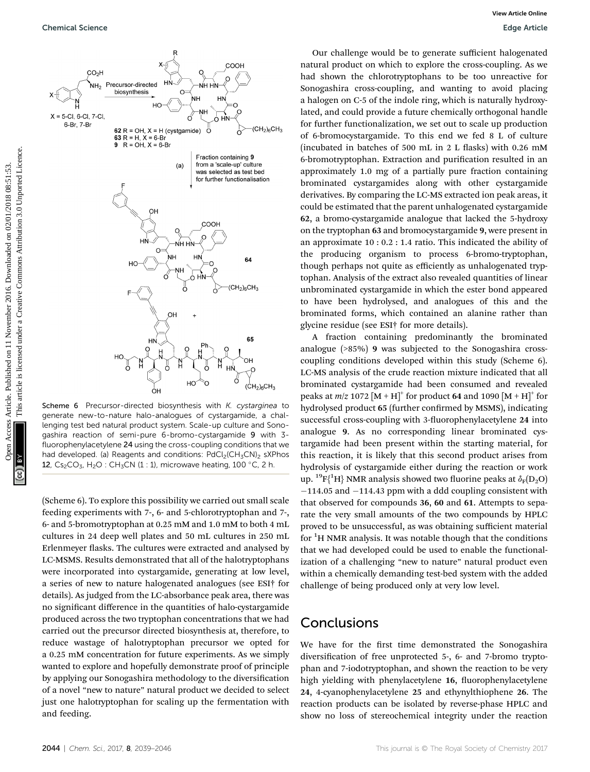

Scheme 6 Precursor-directed biosynthesis with K. cystarginea to generate new-to-nature halo-analogues of cystargamide, a challenging test bed natural product system. Scale-up culture and Sonogashira reaction of semi-pure 6-bromo-cystargamide 9 with 3 fluorophenylacetylene 24 using the cross-coupling conditions that we had developed. (a) Reagents and conditions:  $PdCl<sub>2</sub>(CH<sub>3</sub>CN)<sub>2</sub>$  sXPhos 12,  $Cs<sub>2</sub>CO<sub>3</sub>$ , H<sub>2</sub>O : CH<sub>3</sub>CN (1 : 1), microwave heating, 100 °C, 2 h.

(Scheme 6). To explore this possibility we carried out small scale feeding experiments with 7-, 6- and 5-chlorotryptophan and 7-, 6- and 5-bromotryptophan at 0.25 mM and 1.0 mM to both 4 mL cultures in 24 deep well plates and 50 mL cultures in 250 mL Erlenmeyer flasks. The cultures were extracted and analysed by LC-MSMS. Results demonstrated that all of the halotryptophans were incorporated into cystargamide, generating at low level, a series of new to nature halogenated analogues (see ESI† for details). As judged from the LC-absorbance peak area, there was no signicant difference in the quantities of halo-cystargamide produced across the two tryptophan concentrations that we had carried out the precursor directed biosynthesis at, therefore, to reduce wastage of halotryptophan precursor we opted for a 0.25 mM concentration for future experiments. As we simply wanted to explore and hopefully demonstrate proof of principle by applying our Sonogashira methodology to the diversification of a novel "new to nature" natural product we decided to select just one halotryptophan for scaling up the fermentation with and feeding.

Our challenge would be to generate sufficient halogenated natural product on which to explore the cross-coupling. As we had shown the chlorotryptophans to be too unreactive for Sonogashira cross-coupling, and wanting to avoid placing a halogen on C-5 of the indole ring, which is naturally hydroxylated, and could provide a future chemically orthogonal handle for further functionalization, we set out to scale up production of 6-bromocystargamide. To this end we fed 8 L of culture (incubated in batches of 500 mL in  $2$  L flasks) with 0.26 mM 6-bromotryptophan. Extraction and purification resulted in an approximately 1.0 mg of a partially pure fraction containing brominated cystargamides along with other cystargamide derivatives. By comparing the LC-MS extracted ion peak areas, it could be estimated that the parent unhalogenated cystargamide 62, a bromo-cystargamide analogue that lacked the 5-hydroxy on the tryptophan 63 and bromocystargamide 9, were present in an approximate 10 : 0.2 : 1.4 ratio. This indicated the ability of the producing organism to process 6-bromo-tryptophan, though perhaps not quite as efficiently as unhalogenated tryptophan. Analysis of the extract also revealed quantities of linear unbrominated cystargamide in which the ester bond appeared to have been hydrolysed, and analogues of this and the brominated forms, which contained an alanine rather than glycine residue (see ESI† for more details).

A fraction containing predominantly the brominated analogue (>85%) 9 was subjected to the Sonogashira crosscoupling conditions developed within this study (Scheme 6). LC-MS analysis of the crude reaction mixture indicated that all brominated cystargamide had been consumed and revealed peaks at  $m/z$  1072 [M + H]<sup>+</sup> for product 64 and 1090 [M + H]<sup>+</sup> for hydrolysed product 65 (further confirmed by MSMS), indicating successful cross-coupling with 3-fluorophenylacetylene 24 into analogue 9. As no corresponding linear brominated cystargamide had been present within the starting material, for this reaction, it is likely that this second product arises from hydrolysis of cystargamide either during the reaction or work up.  $^{19}{\rm F}\{^1{\rm H}\}$  NMR analysis showed two fluorine peaks at  $\delta_{\rm F}({\rm D}_2{\rm O})$  $-114.05$  and  $-114.43$  ppm with a ddd coupling consistent with that observed for compounds 36, 60 and 61. Attempts to separate the very small amounts of the two compounds by HPLC proved to be unsuccessful, as was obtaining sufficient material for <sup>1</sup>H NMR analysis. It was notable though that the conditions that we had developed could be used to enable the functionalization of a challenging "new to nature" natural product even within a chemically demanding test-bed system with the added challenge of being produced only at very low level.

### **Conclusions**

We have for the first time demonstrated the Sonogashira diversification of free unprotected 5-, 6- and 7-bromo tryptophan and 7-iodotryptophan, and shown the reaction to be very high yielding with phenylacetylene 16, fluorophenylacetylene 24, 4-cyanophenylacetylene 25 and ethynylthiophene 26. The reaction products can be isolated by reverse-phase HPLC and show no loss of stereochemical integrity under the reaction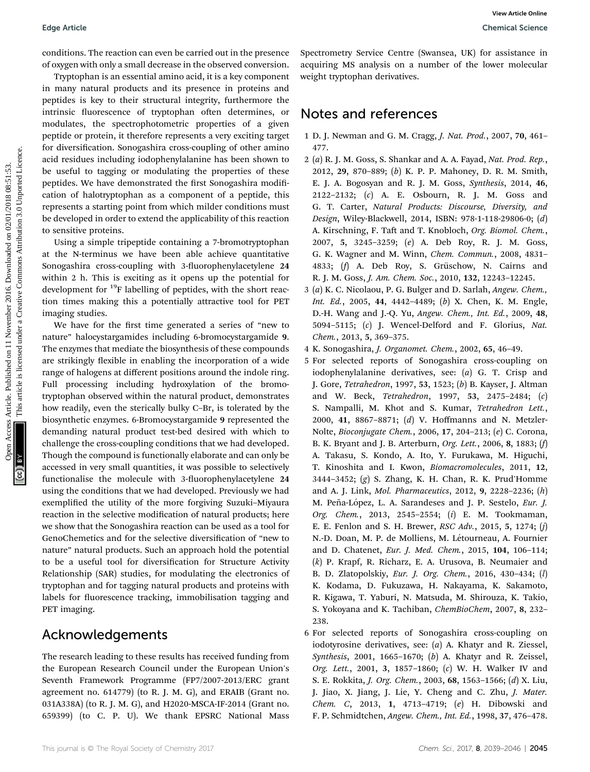conditions. The reaction can even be carried out in the presence of oxygen with only a small decrease in the observed conversion.

Tryptophan is an essential amino acid, it is a key component in many natural products and its presence in proteins and peptides is key to their structural integrity, furthermore the intrinsic fluorescence of tryptophan often determines, or modulates, the spectrophotometric properties of a given peptide or protein, it therefore represents a very exciting target for diversification. Sonogashira cross-coupling of other amino acid residues including iodophenylalanine has been shown to be useful to tagging or modulating the properties of these peptides. We have demonstrated the first Sonogashira modification of halotryptophan as a component of a peptide, this represents a starting point from which milder conditions must be developed in order to extend the applicability of this reaction to sensitive proteins. Edge Article<br>
conditions. The residuent area be the interacted on the presentation and the presentation and the interacted on the interacted on the interacted on the interacted on the interacted on the interaction of the i

Using a simple tripeptide containing a 7-bromotryptophan at the N-terminus we have been able achieve quantitative Sonogashira cross-coupling with 3-fluorophenylacetylene 24 within 2 h. This is exciting as it opens up the potential for development for <sup>19</sup>F labelling of peptides, with the short reaction times making this a potentially attractive tool for PET imaging studies.

We have for the first time generated a series of "new to nature" halocystargamides including 6-bromocystargamide 9. The enzymes that mediate the biosynthesis of these compounds are strikingly flexible in enabling the incorporation of a wide range of halogens at different positions around the indole ring. Full processing including hydroxylation of the bromotryptophan observed within the natural product, demonstrates how readily, even the sterically bulky C–Br, is tolerated by the biosynthetic enzymes. 6-Bromocystargamide 9 represented the demanding natural product test-bed desired with which to challenge the cross-coupling conditions that we had developed. Though the compound is functionally elaborate and can only be accessed in very small quantities, it was possible to selectively functionalise the molecule with 3-fluorophenylacetylene 24 using the conditions that we had developed. Previously we had exemplified the utility of the more forgiving Suzuki-Miyaura reaction in the selective modification of natural products; here we show that the Sonogashira reaction can be used as a tool for GenoChemetics and for the selective diversification of "new to nature" natural products. Such an approach hold the potential to be a useful tool for diversification for Structure Activity Relationship (SAR) studies, for modulating the electronics of tryptophan and for tagging natural products and proteins with labels for fluorescence tracking, immobilisation tagging and PET imaging.

#### Acknowledgements

The research leading to these results has received funding from the European Research Council under the European Union's Seventh Framework Programme (FP7/2007-2013/ERC grant agreement no. 614779) (to R. J. M. G), and ERAIB (Grant no. 031A338A) (to R. J. M. G), and H2020-MSCA-IF-2014 (Grant no. 659399) (to C. P. U). We thank EPSRC National Mass

Spectrometry Service Centre (Swansea, UK) for assistance in acquiring MS analysis on a number of the lower molecular weight tryptophan derivatives.

#### Notes and references

- 1 D. J. Newman and G. M. Cragg, J. Nat. Prod., 2007, 70, 461– 477.
- 2 (a) R. J. M. Goss, S. Shankar and A. A. Fayad, Nat. Prod. Rep., 2012, 29, 870–889; (b) K. P. P. Mahoney, D. R. M. Smith, E. J. A. Bogosyan and R. J. M. Goss, Synthesis, 2014, 46, 2122–2132; (c) A. E. Osbourn, R. J. M. Goss and G. T. Carter, Natural Products: Discourse, Diversity, and Design, Wiley-Blackwell, 2014, ISBN: 978-1-118-29806-0; (d) A. Kirschning, F. Taft and T. Knobloch, Org. Biomol. Chem., 2007, 5, 3245–3259; (e) A. Deb Roy, R. J. M. Goss, G. K. Wagner and M. Winn, Chem. Commun., 2008, 4831– 4833; (f) A. Deb Roy, S. Grüschow, N. Cairns and R. J. M. Goss, J. Am. Chem. Soc., 2010, 132, 12243–12245.
- 3 (a) K. C. Nicolaou, P. G. Bulger and D. Sarlah, Angew. Chem., Int. Ed., 2005, 44, 4442–4489; (b) X. Chen, K. M. Engle, D.-H. Wang and J.-Q. Yu, Angew. Chem., Int. Ed., 2009, 48, 5094–5115; (c) J. Wencel-Delford and F. Glorius, Nat. Chem., 2013, 5, 369–375.
- 4 K. Sonogashira, J. Organomet. Chem., 2002, 65, 46–49.
- 5 For selected reports of Sonogashira cross-coupling on iodophenylalanine derivatives, see: (a) G. T. Crisp and J. Gore, Tetrahedron, 1997, 53, 1523; (b) B. Kayser, J. Altman and W. Beck, Tetrahedron, 1997, 53, 2475–2484; (c) S. Nampalli, M. Khot and S. Kumar, Tetrahedron Lett., 2000, 41, 8867–8871; (d) V. Hoffmanns and N. Metzler-Nolte, Bioconjugate Chem., 2006, 17, 204–213; (e) C. Corona, B. K. Bryant and J. B. Arterburn, Org. Lett., 2006, 8, 1883; (f) A. Takasu, S. Kondo, A. Ito, Y. Furukawa, M. Higuchi, T. Kinoshita and I. Kwon, Biomacromolecules, 2011, 12, 3444–3452; (g) S. Zhang, K. H. Chan, R. K. Prud'Homme and A. J. Link, Mol. Pharmaceutics, 2012, 9, 2228–2236; (h) M. Peña-López, L. A. Sarandeses and J. P. Sestelo, Eur. J. Org. Chem., 2013, 2545–2554; (i) E. M. Tookmaman, E. E. Fenlon and S. H. Brewer, *RSC Adv.*, 2015, 5, 1274; (*j*) N.-D. Doan, M. P. de Molliens, M. Létourneau, A. Fournier and D. Chatenet, Eur. J. Med. Chem., 2015, 104, 106-114; (k) P. Krapf, R. Richarz, E. A. Urusova, B. Neumaier and B. D. Zlatopolskiy, Eur. J. Org. Chem., 2016, 430–434; (l) K. Kodama, D. Fukuzawa, H. Nakayama, K. Sakamoto, R. Kigawa, T. Yaburi, N. Matsuda, M. Shirouza, K. Takio, S. Yokoyana and K. Tachiban, ChemBioChem, 2007, 8, 232– 238.
- 6 For selected reports of Sonogashira cross-coupling on iodotyrosine derivatives, see: (a) A. Khatyr and R. Ziessel, Synthesis, 2001, 1665–1670; (b) A. Khatyr and R. Zeissel, Org. Lett., 2001, 3, 1857–1860; (c) W. H. Walker IV and S. E. Rokkita, J. Org. Chem., 2003, 68, 1563–1566; (d) X. Liu, J. Jiao, X. Jiang, J. Lie, Y. Cheng and C. Zhu, J. Mater. Chem. C, 2013, 1, 4713–4719; (e) H. Dibowski and F. P. Schmidtchen, Angew. Chem., Int. Ed., 1998, 37, 476–478.